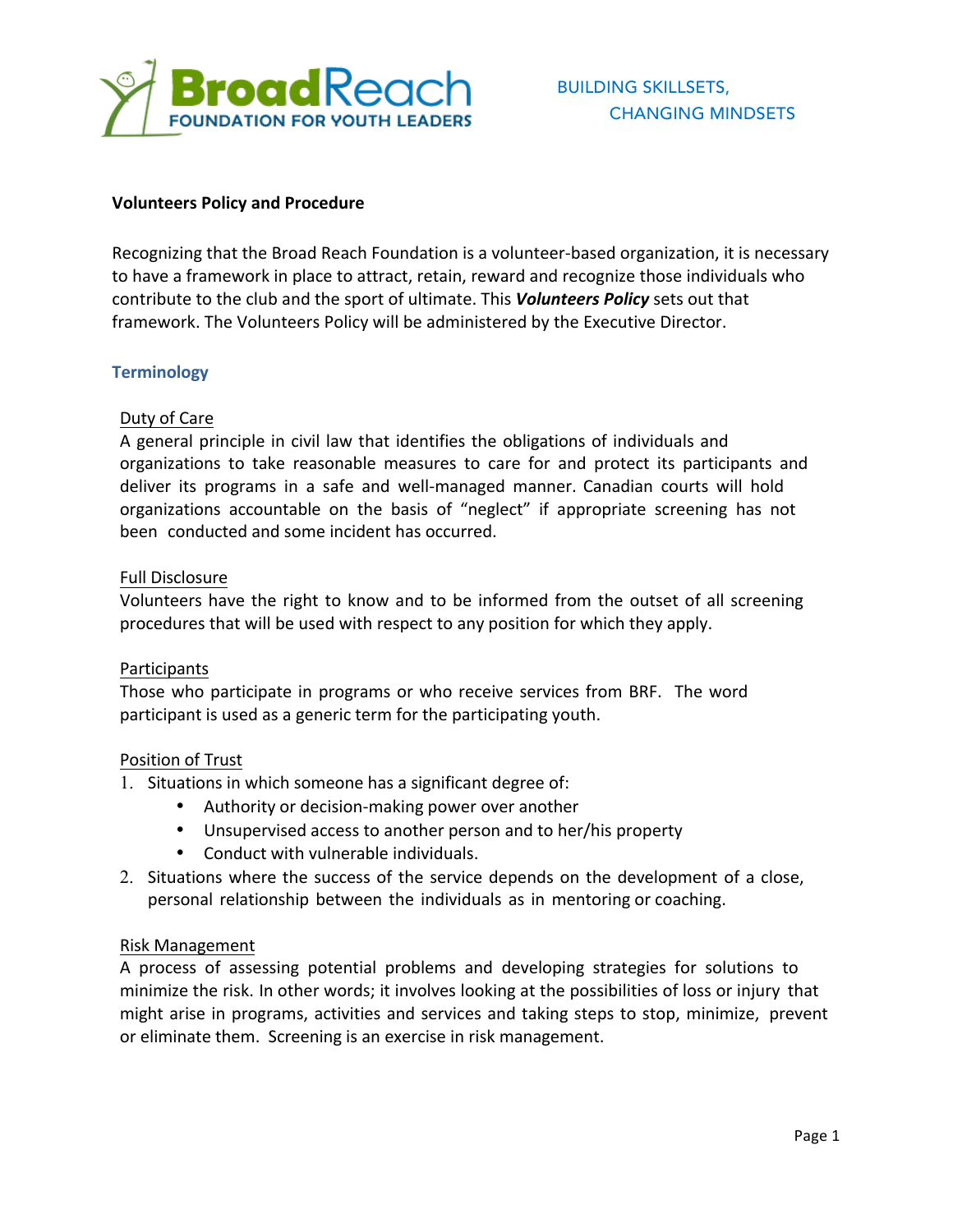

#### **Volunteers Policy and Procedure**

Recognizing that the Broad Reach Foundation is a volunteer-based organization, it is necessary to have a framework in place to attract, retain, reward and recognize those individuals who contribute to the club and the sport of ultimate. This *Volunteers Policy* sets out that framework. The Volunteers Policy will be administered by the Executive Director.

### **Terminology**

### Duty of Care

A general principle in civil law that identifies the obligations of individuals and organizations to take reasonable measures to care for and protect its participants and deliver its programs in a safe and well-managed manner. Canadian courts will hold organizations accountable on the basis of "neglect" if appropriate screening has not been conducted and some incident has occurred.

#### Full Disclosure

Volunteers have the right to know and to be informed from the outset of all screening procedures that will be used with respect to any position for which they apply.

#### Participants

Those who participate in programs or who receive services from BRF. The word participant is used as a generic term for the participating youth.

#### Position of Trust

- 1. Situations in which someone has a significant degree of:
	- Authority or decision-making power over another
	- Unsupervised access to another person and to her/his property
	- Conduct with vulnerable individuals.
- 2. Situations where the success of the service depends on the development of a close, personal relationship between the individuals as in mentoring or coaching.

#### Risk Management

A process of assessing potential problems and developing strategies for solutions to minimize the risk. In other words; it involves looking at the possibilities of loss or injury that might arise in programs, activities and services and taking steps to stop, minimize, prevent or eliminate them. Screening is an exercise in risk management.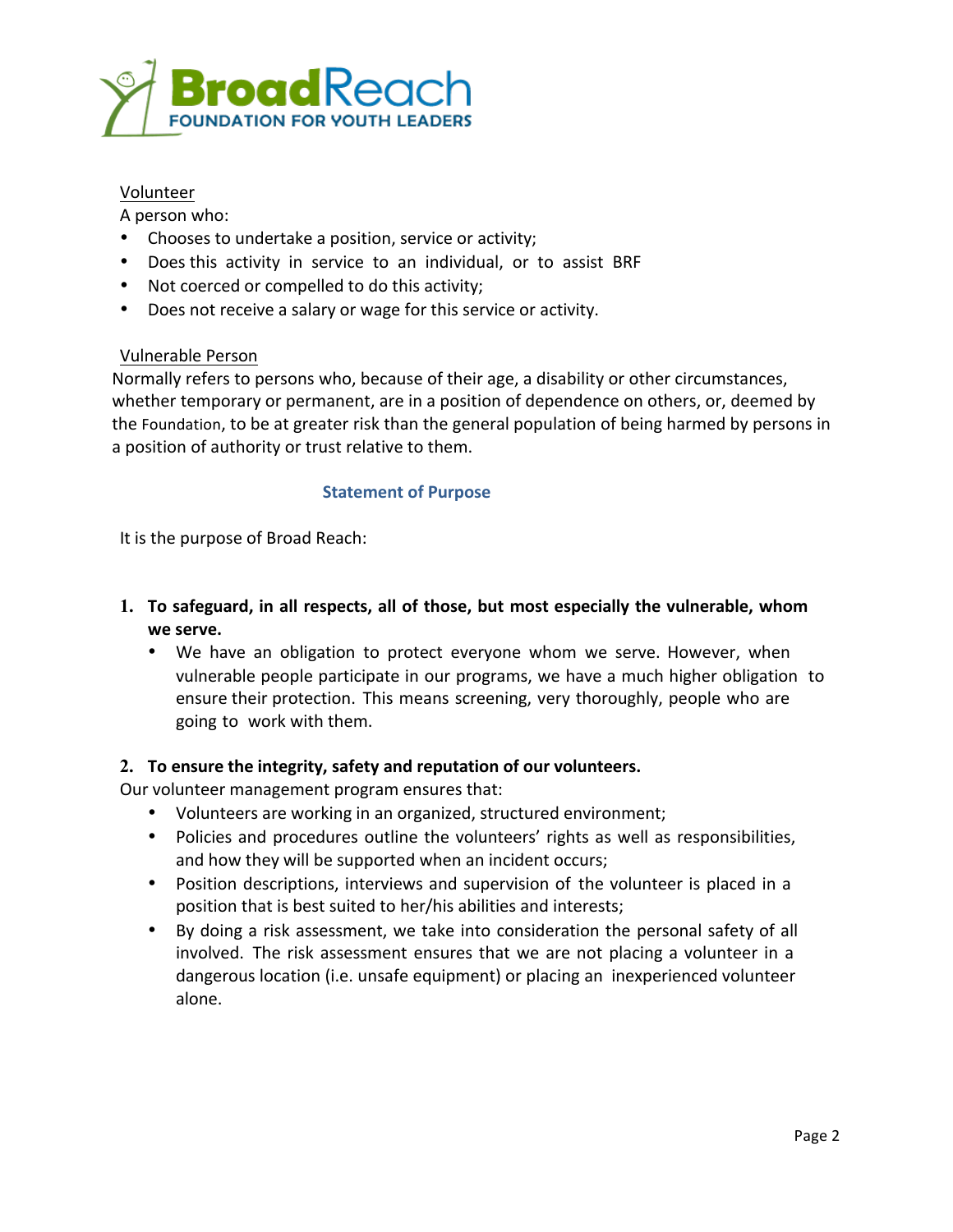

## Volunteer

A person who:

- Chooses to undertake a position, service or activity;
- Does this activity in service to an individual, or to assist BRF
- Not coerced or compelled to do this activity;
- Does not receive a salary or wage for this service or activity.

### Vulnerable Person

Normally refers to persons who, because of their age, a disability or other circumstances, whether temporary or permanent, are in a position of dependence on others, or, deemed by the Foundation, to be at greater risk than the general population of being harmed by persons in a position of authority or trust relative to them.

### **Statement of Purpose**

It is the purpose of Broad Reach:

- **1. To safeguard, in all respects, all of those, but most especially the vulnerable, whom we serve.**
	- We have an obligation to protect everyone whom we serve. However, when vulnerable people participate in our programs, we have a much higher obligation to ensure their protection. This means screening, very thoroughly, people who are going to work with them.

## **2. To ensure the integrity, safety and reputation of our volunteers.**

Our volunteer management program ensures that:

- Volunteers are working in an organized, structured environment;
- Policies and procedures outline the volunteers' rights as well as responsibilities, and how they will be supported when an incident occurs;
- Position descriptions, interviews and supervision of the volunteer is placed in a position that is best suited to her/his abilities and interests;
- By doing a risk assessment, we take into consideration the personal safety of all involved. The risk assessment ensures that we are not placing a volunteer in a dangerous location (i.e. unsafe equipment) or placing an inexperienced volunteer alone.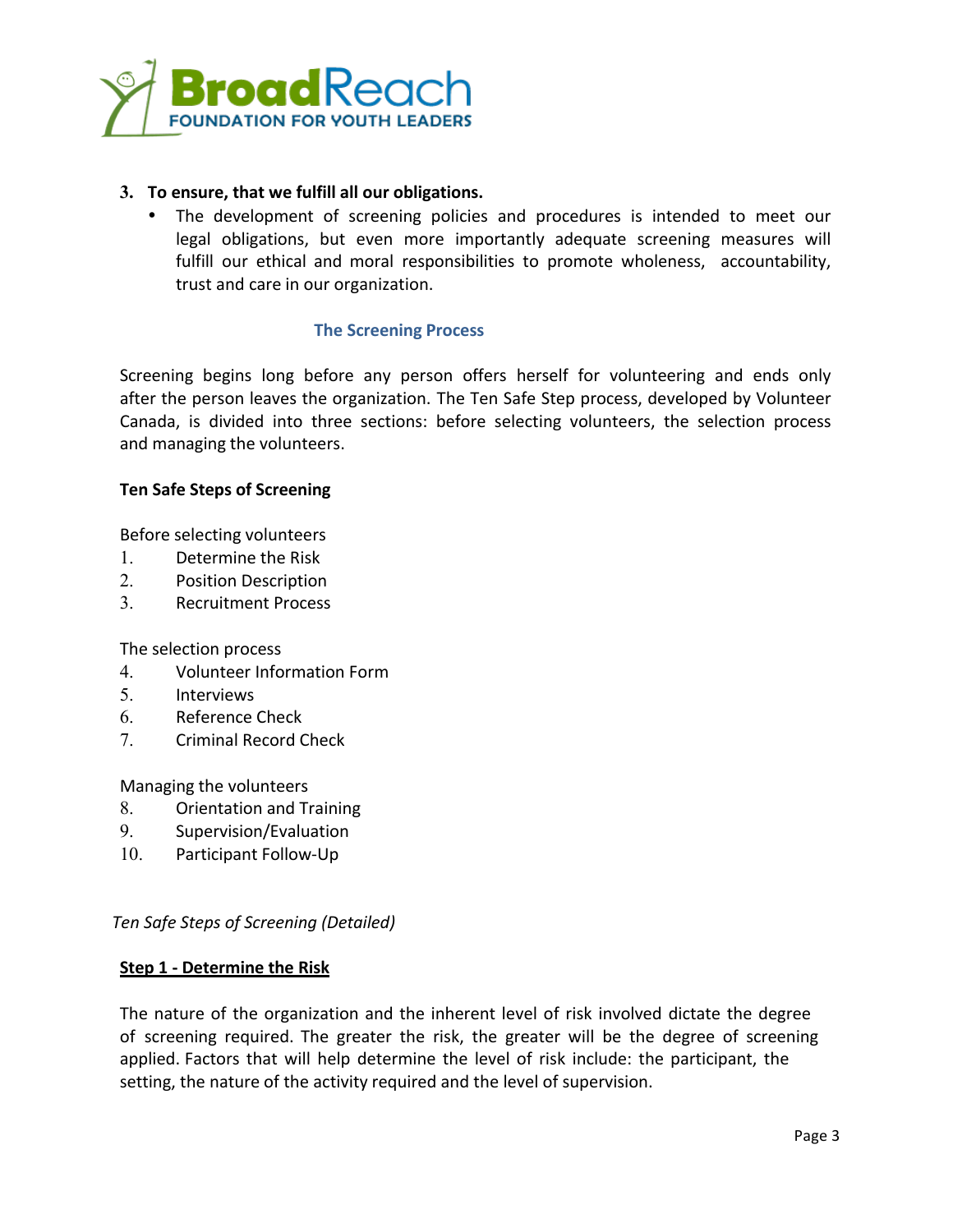

# **3. To ensure, that we fulfill all our obligations.**

The development of screening policies and procedures is intended to meet our legal obligations, but even more importantly adequate screening measures will fulfill our ethical and moral responsibilities to promote wholeness, accountability, trust and care in our organization.

### **The Screening Process**

Screening begins long before any person offers herself for volunteering and ends only after the person leaves the organization. The Ten Safe Step process, developed by Volunteer Canada, is divided into three sections: before selecting volunteers, the selection process and managing the volunteers.

### **Ten Safe Steps of Screening**

Before selecting volunteers

- 1. Determine the Risk
- 2. Position Description
- 3. Recruitment Process

The selection process

- 4. Volunteer Information Form
- 5. Interviews
- 6. Reference Check
- 7. Criminal Record Check

Managing the volunteers

- 8. Orientation and Training
- 9. Supervision/Evaluation
- 10. Participant Follow-Up

#### *Ten Safe Steps of Screening (Detailed)*

#### **Step 1 - Determine the Risk**

The nature of the organization and the inherent level of risk involved dictate the degree of screening required. The greater the risk, the greater will be the degree of screening applied. Factors that will help determine the level of risk include: the participant, the setting, the nature of the activity required and the level of supervision.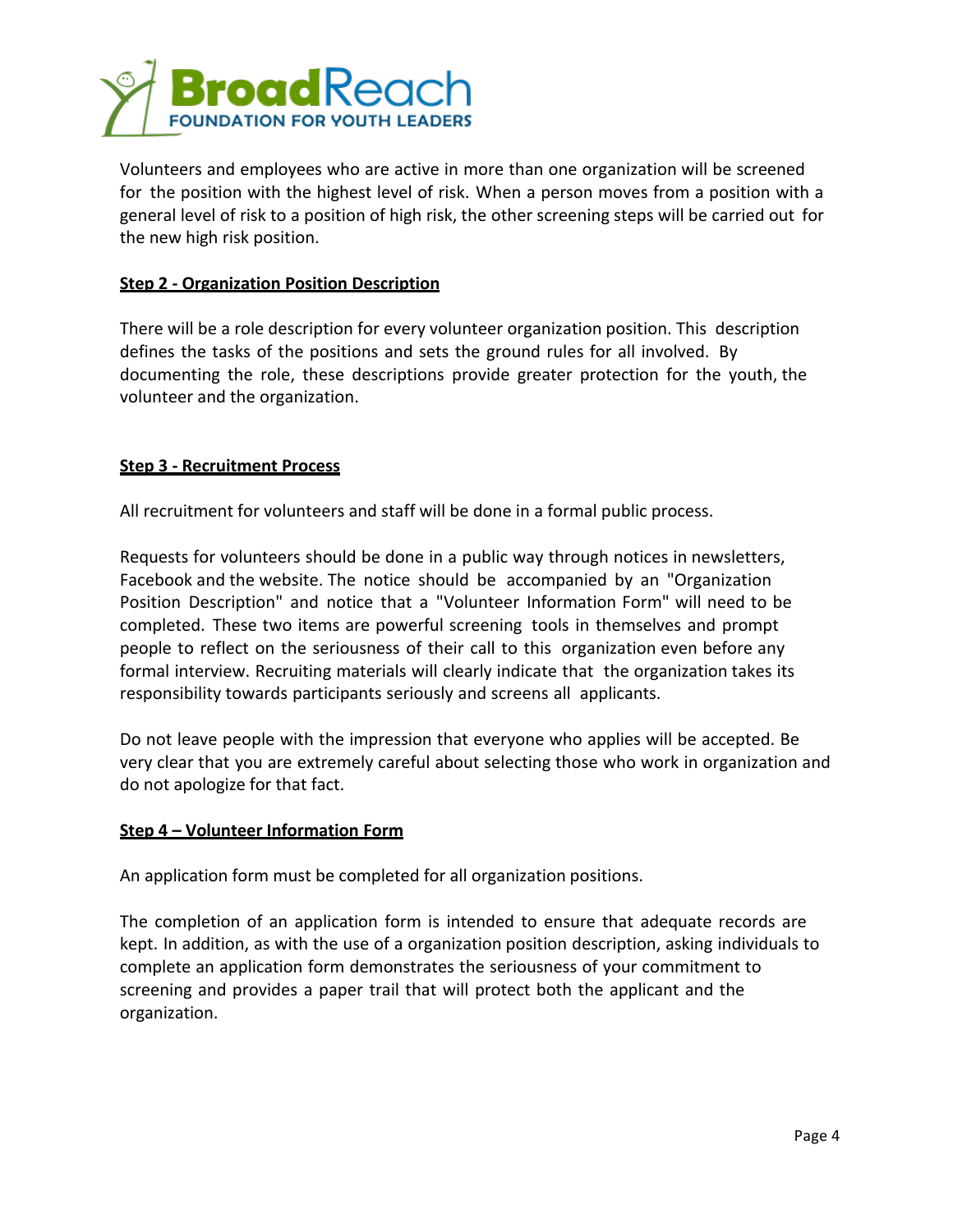

Volunteers and employees who are active in more than one organization will be screened for the position with the highest level of risk. When a person moves from a position with a general level of risk to a position of high risk, the other screening steps will be carried out for the new high risk position.

## **Step 2 - Organization Position Description**

There will be a role description for every volunteer organization position. This description defines the tasks of the positions and sets the ground rules for all involved. By documenting the role, these descriptions provide greater protection for the youth, the volunteer and the organization.

### **Step 3 - Recruitment Process**

All recruitment for volunteers and staff will be done in a formal public process.

Requests for volunteers should be done in a public way through notices in newsletters, Facebook and the website. The notice should be accompanied by an "Organization" Position Description" and notice that a "Volunteer Information Form" will need to be completed. These two items are powerful screening tools in themselves and prompt people to reflect on the seriousness of their call to this organization even before any formal interview. Recruiting materials will clearly indicate that the organization takes its responsibility towards participants seriously and screens all applicants.

Do not leave people with the impression that everyone who applies will be accepted. Be very clear that you are extremely careful about selecting those who work in organization and do not apologize for that fact.

#### **Step 4 – Volunteer Information Form**

An application form must be completed for all organization positions.

The completion of an application form is intended to ensure that adequate records are kept. In addition, as with the use of a organization position description, asking individuals to complete an application form demonstrates the seriousness of your commitment to screening and provides a paper trail that will protect both the applicant and the organization.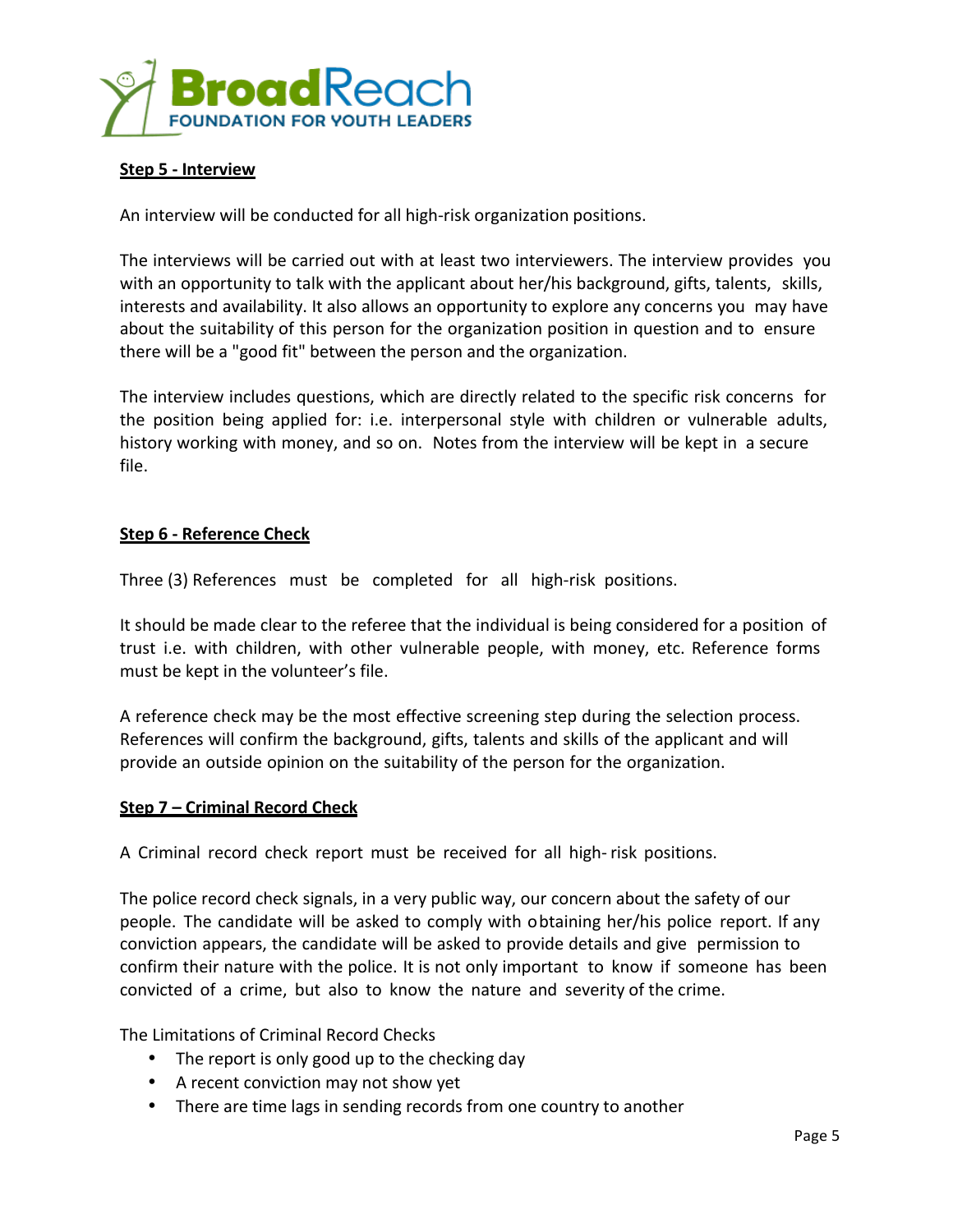

### **Step 5 - Interview**

An interview will be conducted for all high-risk organization positions.

The interviews will be carried out with at least two interviewers. The interview provides you with an opportunity to talk with the applicant about her/his background, gifts, talents, skills, interests and availability. It also allows an opportunity to explore any concerns you may have about the suitability of this person for the organization position in question and to ensure there will be a "good fit" between the person and the organization.

The interview includes questions, which are directly related to the specific risk concerns for the position being applied for: i.e. interpersonal style with children or vulnerable adults, history working with money, and so on. Notes from the interview will be kept in a secure file.

### **Step 6 - Reference Check**

Three (3) References must be completed for all high-risk positions.

It should be made clear to the referee that the individual is being considered for a position of trust i.e. with children, with other vulnerable people, with money, etc. Reference forms must be kept in the volunteer's file.

A reference check may be the most effective screening step during the selection process. References will confirm the background, gifts, talents and skills of the applicant and will provide an outside opinion on the suitability of the person for the organization. 

#### **Step 7 – Criminal Record Check**

A Criminal record check report must be received for all high- risk positions.

The police record check signals, in a very public way, our concern about the safety of our people. The candidate will be asked to comply with obtaining her/his police report. If any conviction appears, the candidate will be asked to provide details and give permission to confirm their nature with the police. It is not only important to know if someone has been convicted of a crime, but also to know the nature and severity of the crime.

The Limitations of Criminal Record Checks

- The report is only good up to the checking day
- A recent conviction may not show yet
- There are time lags in sending records from one country to another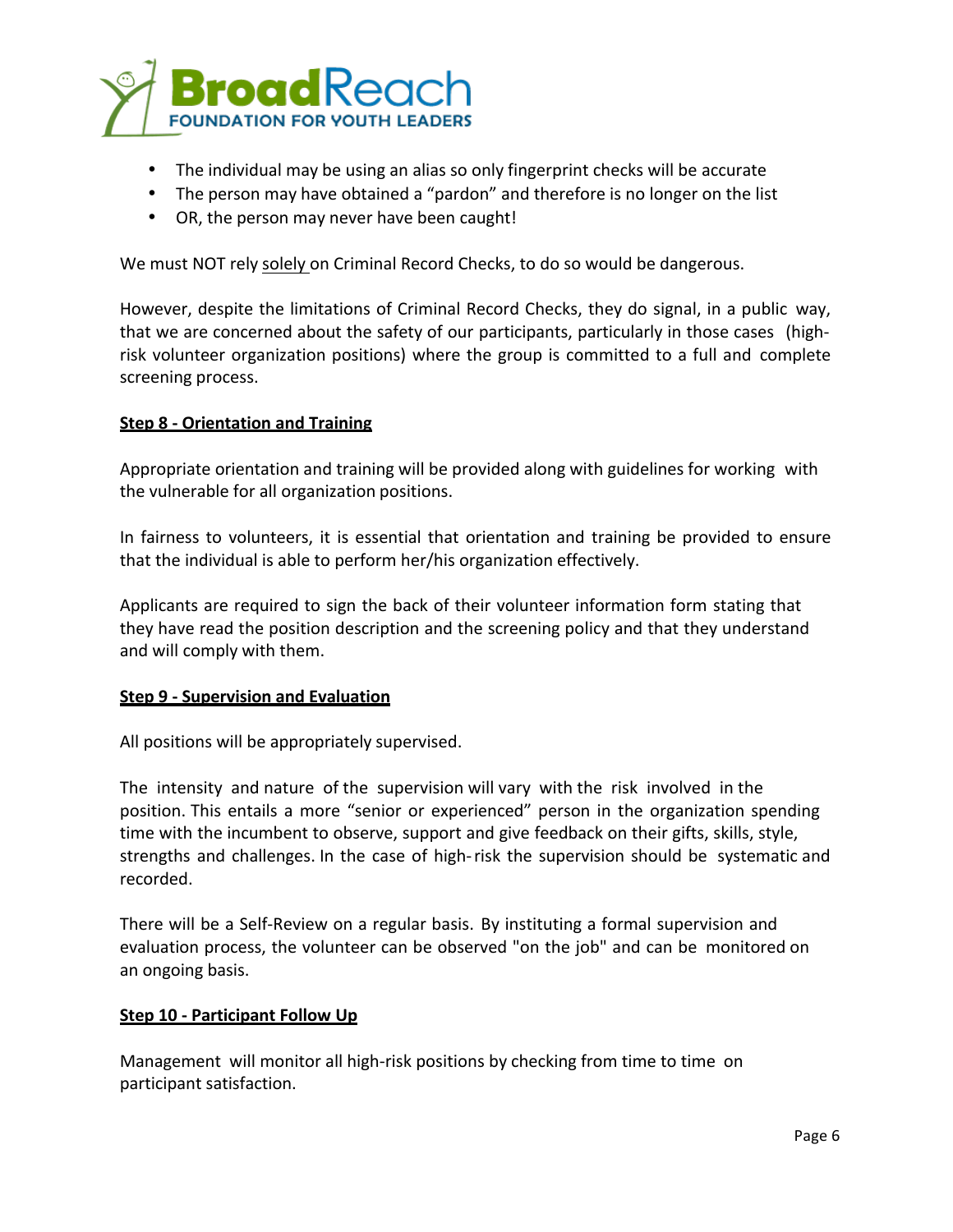

- The individual may be using an alias so only fingerprint checks will be accurate
- The person may have obtained a "pardon" and therefore is no longer on the list
- OR, the person may never have been caught!

We must NOT rely solely on Criminal Record Checks, to do so would be dangerous.

However, despite the limitations of Criminal Record Checks, they do signal, in a public way, that we are concerned about the safety of our participants, particularly in those cases (highrisk volunteer organization positions) where the group is committed to a full and complete screening process.

### **Step 8 - Orientation and Training**

Appropriate orientation and training will be provided along with guidelines for working with the vulnerable for all organization positions.

In fairness to volunteers, it is essential that orientation and training be provided to ensure that the individual is able to perform her/his organization effectively.

Applicants are required to sign the back of their volunteer information form stating that they have read the position description and the screening policy and that they understand and will comply with them.

#### **Step 9 - Supervision and Evaluation**

All positions will be appropriately supervised.

The intensity and nature of the supervision will vary with the risk involved in the position. This entails a more "senior or experienced" person in the organization spending time with the incumbent to observe, support and give feedback on their gifts, skills, style, strengths and challenges. In the case of high-risk the supervision should be systematic and recorded.

There will be a Self-Review on a regular basis. By instituting a formal supervision and evaluation process, the volunteer can be observed "on the job" and can be monitored on an ongoing basis.

#### **Step 10 - Participant Follow Up**

Management will monitor all high-risk positions by checking from time to time on participant satisfaction.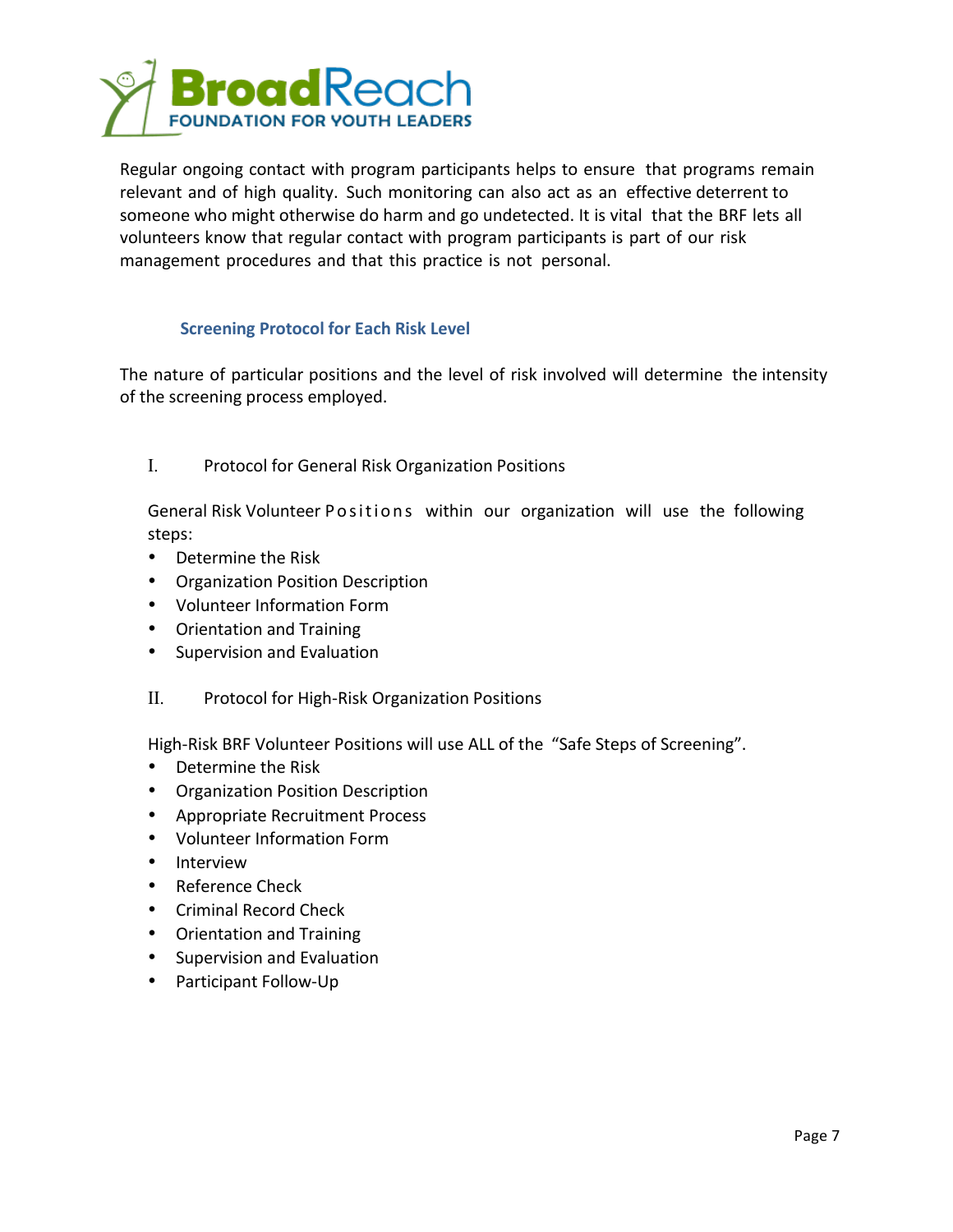

Regular ongoing contact with program participants helps to ensure that programs remain relevant and of high quality. Such monitoring can also act as an effective deterrent to someone who might otherwise do harm and go undetected. It is vital that the BRF lets all volunteers know that regular contact with program participants is part of our risk management procedures and that this practice is not personal.

## **Screening Protocol for Each Risk Level**

The nature of particular positions and the level of risk involved will determine the intensity of the screening process employed.

I. Protocol for General Risk Organization Positions

General Risk Volunteer Positions within our organization will use the following steps:

- Determine the Risk
- Organization Position Description
- Volunteer Information Form
- Orientation and Training
- Supervision and Evaluation
- II. Protocol for High-Risk Organization Positions

High-Risk BRF Volunteer Positions will use ALL of the "Safe Steps of Screening".

- Determine the Risk
- Organization Position Description
- Appropriate Recruitment Process
- Volunteer Information Form
- Interview
- Reference Check
- Criminal Record Check
- Orientation and Training
- Supervision and Evaluation
- Participant Follow-Up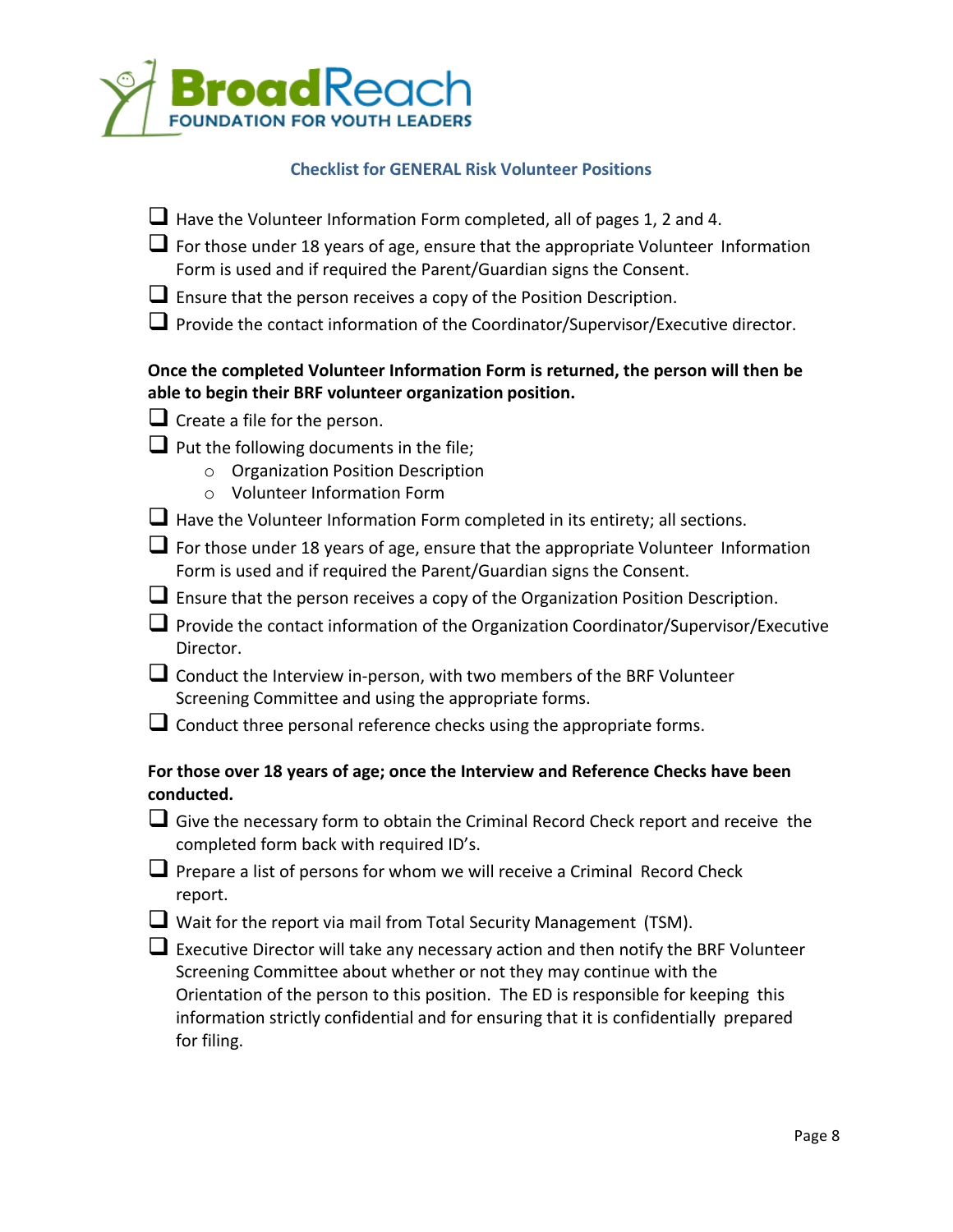

## **Checklist for GENERAL Risk Volunteer Positions**

| Have the Volunteer Information Form completed, all of pages 1, 2 and 4.<br>$\Box$ For those under 18 years of age, ensure that the appropriate Volunteer Information<br>Form is used and if required the Parent/Guardian signs the Consent.<br>$\Box$ Ensure that the person receives a copy of the Position Description.<br>■ Provide the contact information of the Coordinator/Supervisor/Executive director. |
|------------------------------------------------------------------------------------------------------------------------------------------------------------------------------------------------------------------------------------------------------------------------------------------------------------------------------------------------------------------------------------------------------------------|
| Once the completed Volunteer Information Form is returned, the person will then be<br>able to begin their BRF volunteer organization position.                                                                                                                                                                                                                                                                   |
| $\Box$ Create a file for the person.                                                                                                                                                                                                                                                                                                                                                                             |
| $\Box$ Put the following documents in the file;<br><b>Organization Position Description</b><br>$\circ$<br><b>Volunteer Information Form</b><br>$\Omega$                                                                                                                                                                                                                                                          |
| <b>L</b> Have the Volunteer Information Form completed in its entirety; all sections.                                                                                                                                                                                                                                                                                                                            |
| $\Box$ For those under 18 years of age, ensure that the appropriate Volunteer Information<br>Form is used and if required the Parent/Guardian signs the Consent.                                                                                                                                                                                                                                                 |
| <b>Le</b> Ensure that the person receives a copy of the Organization Position Description.                                                                                                                                                                                                                                                                                                                       |
| ■ Provide the contact information of the Organization Coordinator/Supervisor/Executive<br>Director.                                                                                                                                                                                                                                                                                                              |
| $\Box$ Conduct the Interview in-person, with two members of the BRF Volunteer<br>Screening Committee and using the appropriate forms.                                                                                                                                                                                                                                                                            |
| $\Box$ Conduct three personal reference checks using the appropriate forms.                                                                                                                                                                                                                                                                                                                                      |
| For those over 18 years of age; once the Interview and Reference Checks have been<br>conducted.                                                                                                                                                                                                                                                                                                                  |
| Give the necessary form to obtain the Criminal Record Check report and receive the<br>completed form back with required ID's.                                                                                                                                                                                                                                                                                    |
| Prepare a list of persons for whom we will receive a Criminal Record Check<br>report.                                                                                                                                                                                                                                                                                                                            |
| ■ Wait for the report via mail from Total Security Management (TSM).                                                                                                                                                                                                                                                                                                                                             |
| $\Box$ Executive Director will take any necessary action and then notify the BRF Volunteer                                                                                                                                                                                                                                                                                                                       |
| the contract of the contract of the contract of the contract of the contract of the contract of the contract of                                                                                                                                                                                                                                                                                                  |

Screening Committee about whether or not they may continue with the Orientation of the person to this position. The ED is responsible for keeping this information strictly confidential and for ensuring that it is confidentially prepared for filing.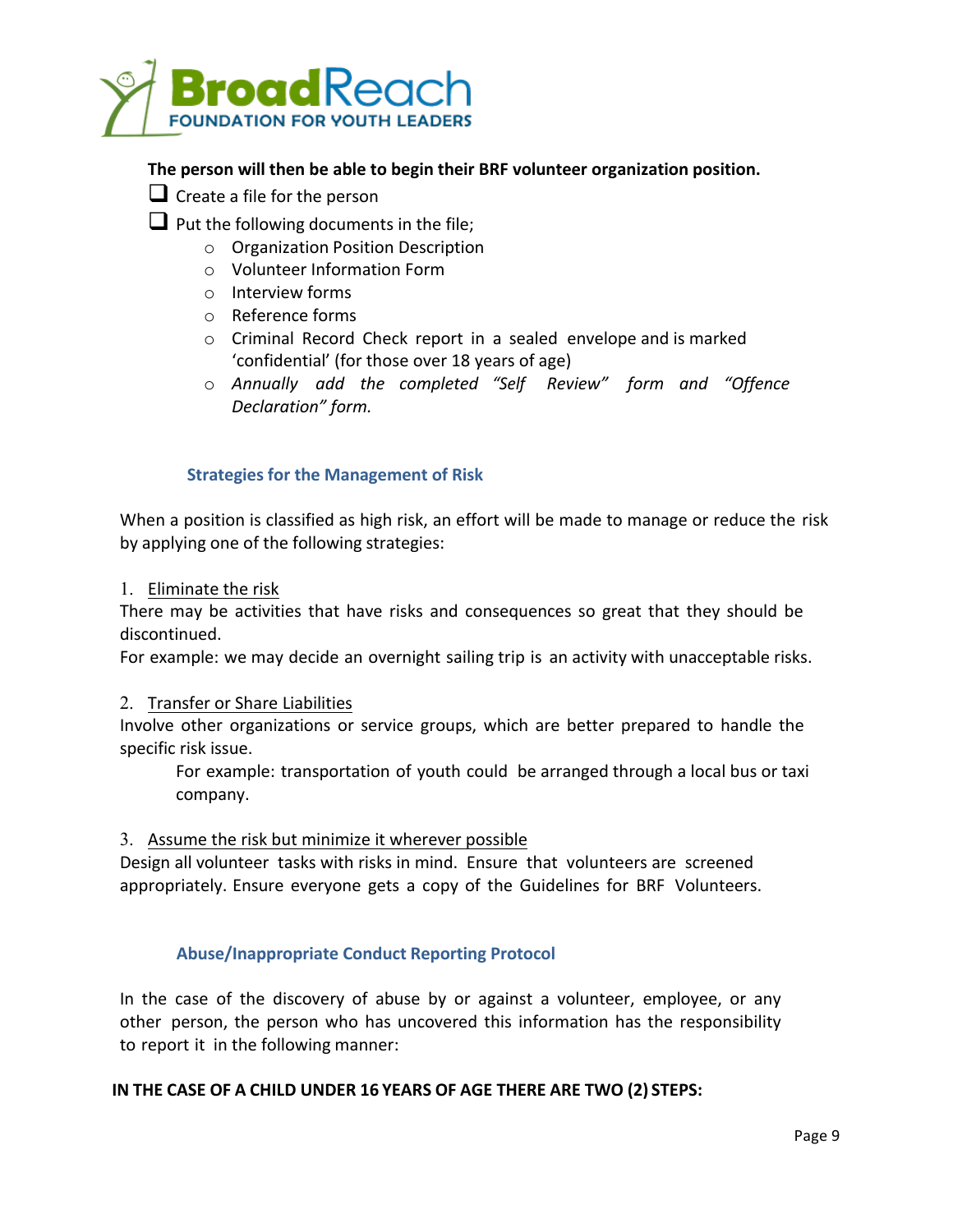

## **The person will then be able to begin their BRF volunteer organization position.**

|  | $\Box$ Create a file for the person |  |
|--|-------------------------------------|--|
|  |                                     |  |

- $\Box$  Put the following documents in the file;
	- $\circ$  Organization Position Description
	- o Volunteer Information Form
	- o Interview forms
	- o Reference forms
	- $\circ$  Criminal Record Check report in a sealed envelope and is marked 'confidential' (for those over 18 years of age)
	- o *Annually add the completed "Self Review" form and "Offence Declaration" form.*

## **Strategies for the Management of Risk**

When a position is classified as high risk, an effort will be made to manage or reduce the risk by applying one of the following strategies:

1. Eliminate the risk

There may be activities that have risks and consequences so great that they should be discontinued.

For example: we may decide an overnight sailing trip is an activity with unacceptable risks.

#### 2. Transfer or Share Liabilities

Involve other organizations or service groups, which are better prepared to handle the specific risk issue.

For example: transportation of youth could be arranged through a local bus or taxi company.

3. Assume the risk but minimize it wherever possible

Design all volunteer tasks with risks in mind. Ensure that volunteers are screened appropriately. Ensure everyone gets a copy of the Guidelines for BRF Volunteers.

## **Abuse/Inappropriate Conduct Reporting Protocol**

In the case of the discovery of abuse by or against a volunteer, employee, or any other person, the person who has uncovered this information has the responsibility to report it in the following manner:

#### **IN THE CASE OF A CHILD UNDER 16 YEARS OF AGE THERE ARE TWO (2) STEPS:**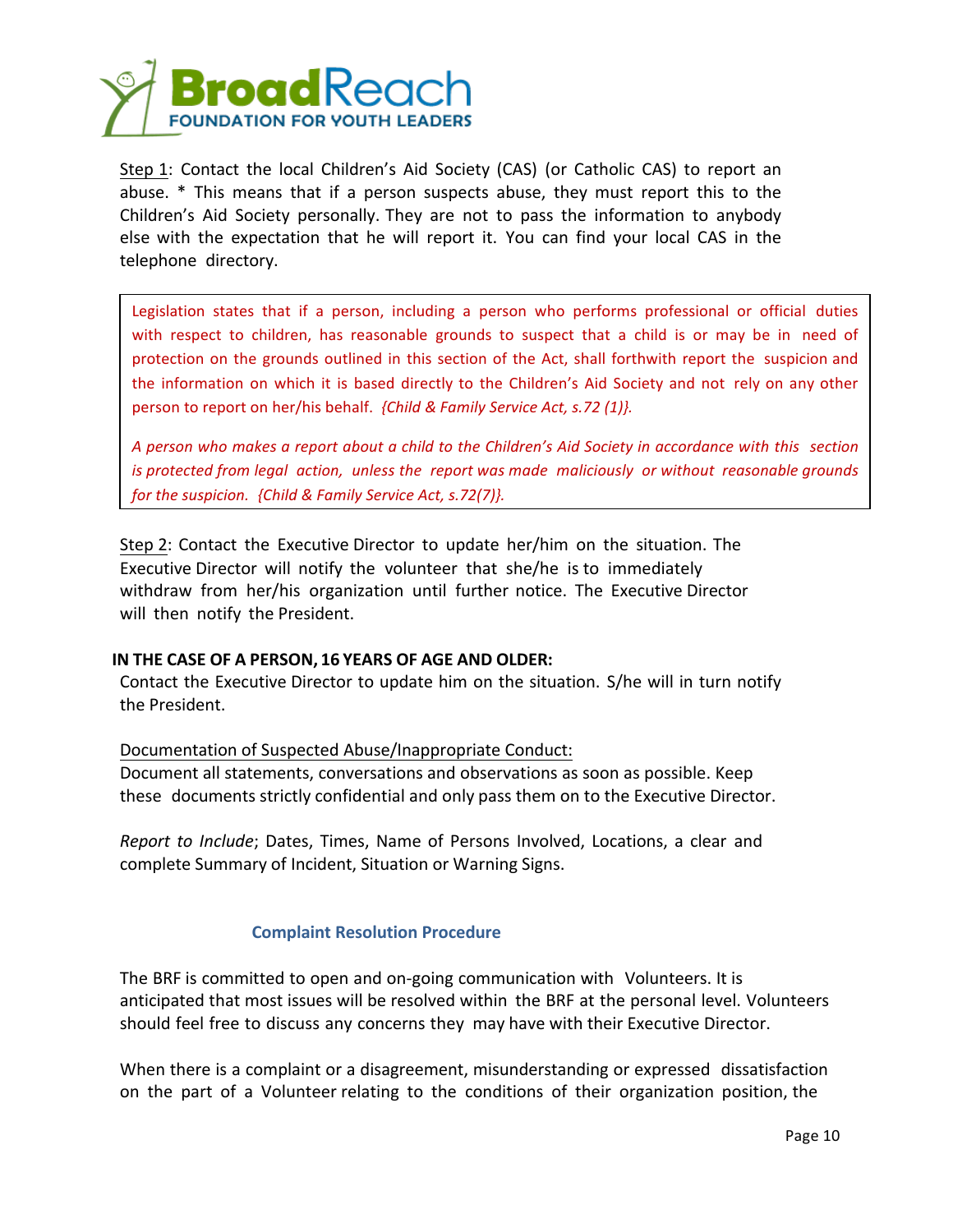

Step 1: Contact the local Children's Aid Society (CAS) (or Catholic CAS) to report an abuse. \* This means that if a person suspects abuse, they must report this to the Children's Aid Society personally. They are not to pass the information to anybody else with the expectation that he will report it. You can find your local CAS in the telephone directory.

Legislation states that if a person, including a person who performs professional or official duties with respect to children, has reasonable grounds to suspect that a child is or may be in need of protection on the grounds outlined in this section of the Act, shall forthwith report the suspicion and the information on which it is based directly to the Children's Aid Society and not rely on any other person to report on her/his behalf. *{Child & Family Service Act, s.72 (1)}.*

A person who makes a report about a child to the Children's Aid Society in accordance with this section *is* protected from legal action, unless the report was made maliciously or without reasonable grounds *for the suspicion. {Child & Family Service Act, s.72(7)}.* 

Step 2: Contact the Executive Director to update her/him on the situation. The Executive Director will notify the volunteer that she/he is to immediately withdraw from her/his organization until further notice. The Executive Director will then notify the President.

#### **IN THE CASE OF A PERSON, 16 YEARS OF AGE AND OLDER:**

Contact the Executive Director to update him on the situation. S/he will in turn notify the President.

Documentation of Suspected Abuse/Inappropriate Conduct:

Document all statements, conversations and observations as soon as possible. Keep these documents strictly confidential and only pass them on to the Executive Director.

*Report to Include*; Dates, Times, Name of Persons Involved, Locations, a clear and complete Summary of Incident, Situation or Warning Signs.

## **Complaint Resolution Procedure**

The BRF is committed to open and on-going communication with Volunteers. It is anticipated that most issues will be resolved within the BRF at the personal level. Volunteers should feel free to discuss any concerns they may have with their Executive Director.

When there is a complaint or a disagreement, misunderstanding or expressed dissatisfaction on the part of a Volunteer relating to the conditions of their organization position, the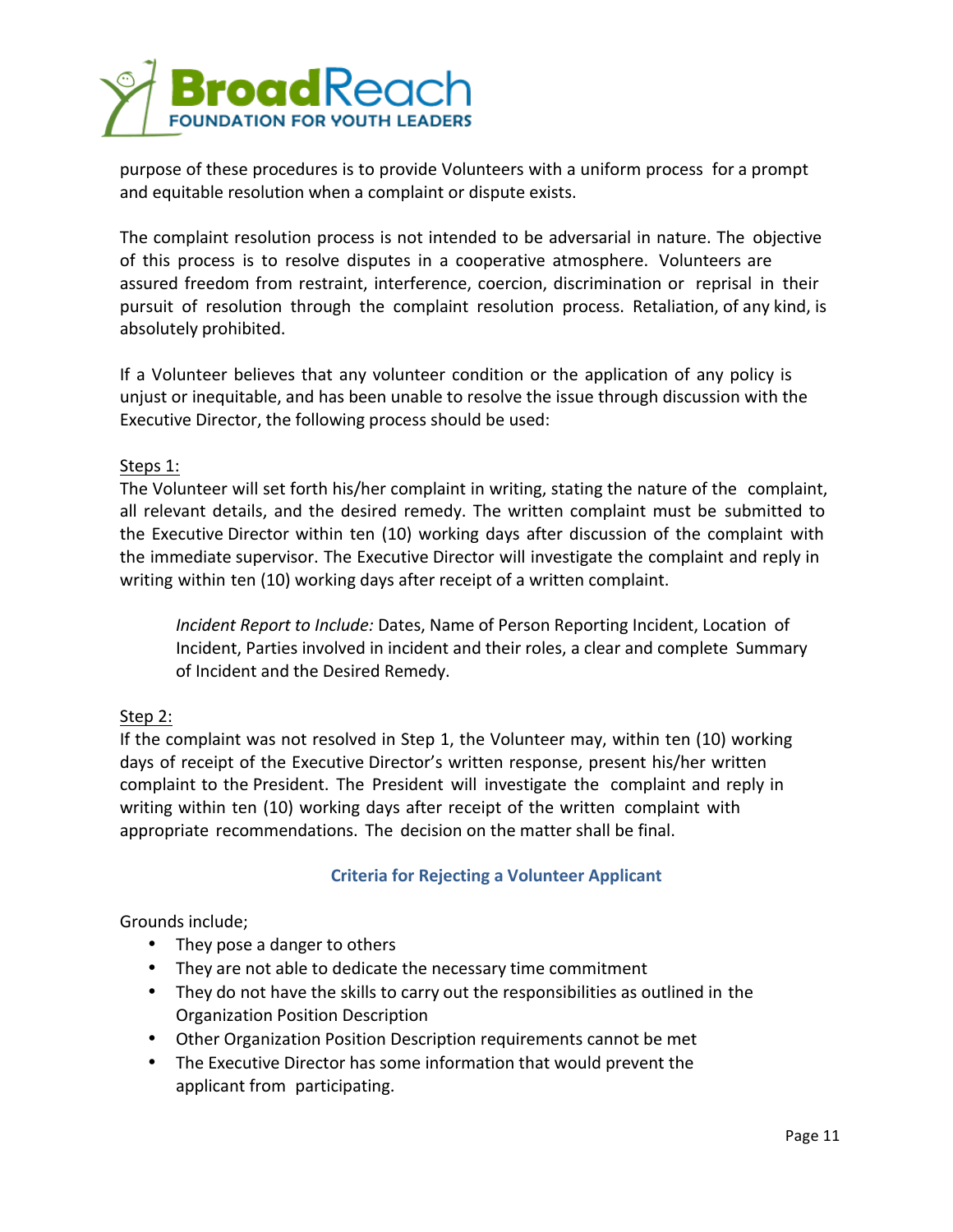

purpose of these procedures is to provide Volunteers with a uniform process for a prompt and equitable resolution when a complaint or dispute exists.

The complaint resolution process is not intended to be adversarial in nature. The objective of this process is to resolve disputes in a cooperative atmosphere. Volunteers are assured freedom from restraint, interference, coercion, discrimination or reprisal in their pursuit of resolution through the complaint resolution process. Retaliation, of any kind, is absolutely prohibited.

If a Volunteer believes that any volunteer condition or the application of any policy is unjust or inequitable, and has been unable to resolve the issue through discussion with the Executive Director, the following process should be used:

# Steps 1:

The Volunteer will set forth his/her complaint in writing, stating the nature of the complaint, all relevant details, and the desired remedy. The written complaint must be submitted to the Executive Director within ten (10) working days after discussion of the complaint with the immediate supervisor. The Executive Director will investigate the complaint and reply in writing within ten (10) working days after receipt of a written complaint.

*Incident Report to Include:* Dates, Name of Person Reporting Incident, Location of Incident, Parties involved in incident and their roles, a clear and complete Summary of Incident and the Desired Remedy.

## Step 2:

If the complaint was not resolved in Step 1, the Volunteer may, within ten (10) working days of receipt of the Executive Director's written response, present his/her written complaint to the President. The President will investigate the complaint and reply in writing within ten (10) working days after receipt of the written complaint with appropriate recommendations. The decision on the matter shall be final.

## **Criteria for Rejecting a Volunteer Applicant**

## Grounds include;

- They pose a danger to others
- They are not able to dedicate the necessary time commitment
- They do not have the skills to carry out the responsibilities as outlined in the Organization Position Description
- Other Organization Position Description requirements cannot be met
- The Executive Director has some information that would prevent the applicant from participating.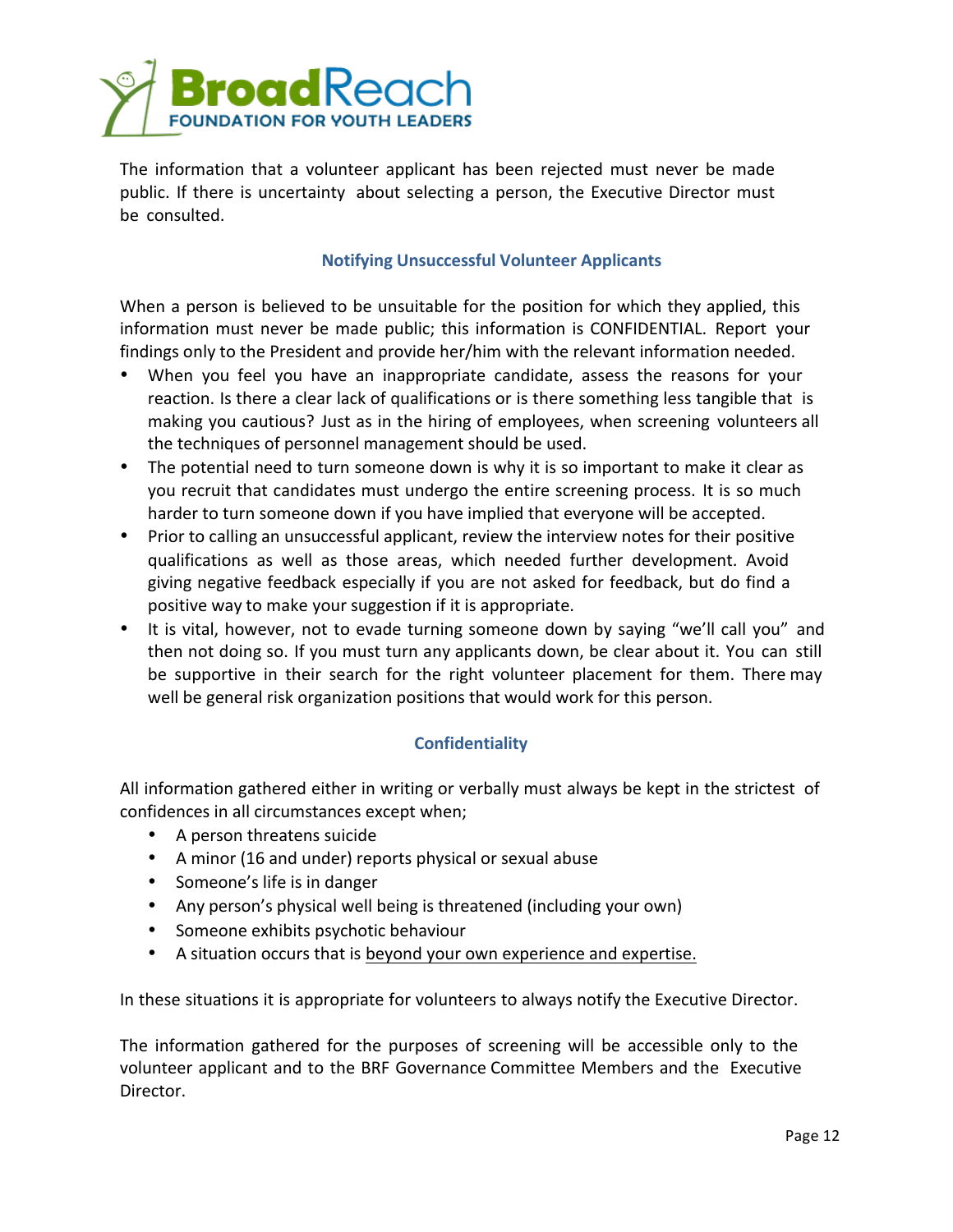

The information that a volunteer applicant has been rejected must never be made public. If there is uncertainty about selecting a person, the Executive Director must be consulted.

## **Notifying Unsuccessful Volunteer Applicants**

When a person is believed to be unsuitable for the position for which they applied, this information must never be made public; this information is CONFIDENTIAL. Report your findings only to the President and provide her/him with the relevant information needed.

- When you feel you have an inappropriate candidate, assess the reasons for your reaction. Is there a clear lack of qualifications or is there something less tangible that is making you cautious? Just as in the hiring of employees, when screening volunteers all the techniques of personnel management should be used.
- The potential need to turn someone down is why it is so important to make it clear as you recruit that candidates must undergo the entire screening process. It is so much harder to turn someone down if you have implied that everyone will be accepted.
- Prior to calling an unsuccessful applicant, review the interview notes for their positive qualifications as well as those areas, which needed further development. Avoid giving negative feedback especially if you are not asked for feedback, but do find a positive way to make your suggestion if it is appropriate.
- It is vital, however, not to evade turning someone down by saying "we'll call you" and then not doing so. If you must turn any applicants down, be clear about it. You can still be supportive in their search for the right volunteer placement for them. There may well be general risk organization positions that would work for this person.

## **Confidentiality**

All information gathered either in writing or verbally must always be kept in the strictest of confidences in all circumstances except when;

- A person threatens suicide
- A minor (16 and under) reports physical or sexual abuse
- Someone's life is in danger
- Any person's physical well being is threatened (including your own)
- Someone exhibits psychotic behaviour
- A situation occurs that is beyond your own experience and expertise.

In these situations it is appropriate for volunteers to always notify the Executive Director.

The information gathered for the purposes of screening will be accessible only to the volunteer applicant and to the BRF Governance Committee Members and the Executive Director.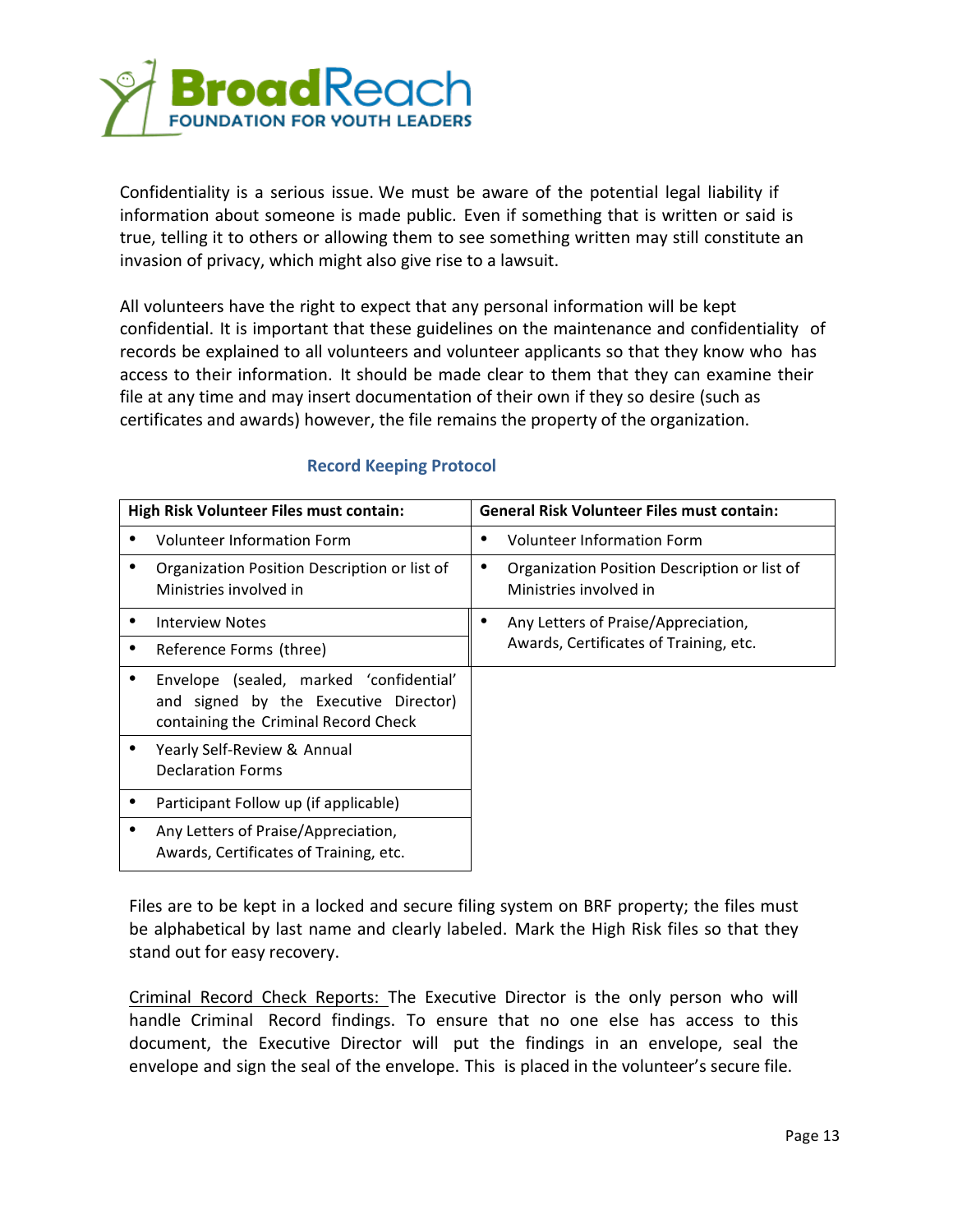

Confidentiality is a serious issue. We must be aware of the potential legal liability if information about someone is made public. Even if something that is written or said is true, telling it to others or allowing them to see something written may still constitute an invasion of privacy, which might also give rise to a lawsuit.

All volunteers have the right to expect that any personal information will be kept confidential. It is important that these guidelines on the maintenance and confidentiality of records be explained to all volunteers and volunteer applicants so that they know who has access to their information. It should be made clear to them that they can examine their file at any time and may insert documentation of their own if they so desire (such as certificates and awards) however, the file remains the property of the organization.

| High Risk Volunteer Files must contain: |                                                                                                                          | <b>General Risk Volunteer Files must contain:</b> |                                                                        |  |
|-----------------------------------------|--------------------------------------------------------------------------------------------------------------------------|---------------------------------------------------|------------------------------------------------------------------------|--|
|                                         | <b>Volunteer Information Form</b>                                                                                        |                                                   | <b>Volunteer Information Form</b>                                      |  |
|                                         | Organization Position Description or list of<br>Ministries involved in                                                   |                                                   | Organization Position Description or list of<br>Ministries involved in |  |
|                                         | Interview Notes                                                                                                          |                                                   | Any Letters of Praise/Appreciation,                                    |  |
|                                         | Reference Forms (three)                                                                                                  |                                                   | Awards, Certificates of Training, etc.                                 |  |
|                                         | Envelope (sealed, marked 'confidential'<br>and signed by the Executive Director)<br>containing the Criminal Record Check |                                                   |                                                                        |  |
|                                         | Yearly Self-Review & Annual<br><b>Declaration Forms</b>                                                                  |                                                   |                                                                        |  |
|                                         | Participant Follow up (if applicable)                                                                                    |                                                   |                                                                        |  |
|                                         | Any Letters of Praise/Appreciation,<br>Awards, Certificates of Training, etc.                                            |                                                   |                                                                        |  |

# **Record Keeping Protocol**

Files are to be kept in a locked and secure filing system on BRF property; the files must be alphabetical by last name and clearly labeled. Mark the High Risk files so that they stand out for easy recovery.

Criminal Record Check Reports: The Executive Director is the only person who will handle Criminal Record findings. To ensure that no one else has access to this document, the Executive Director will put the findings in an envelope, seal the envelope and sign the seal of the envelope. This is placed in the volunteer's secure file.